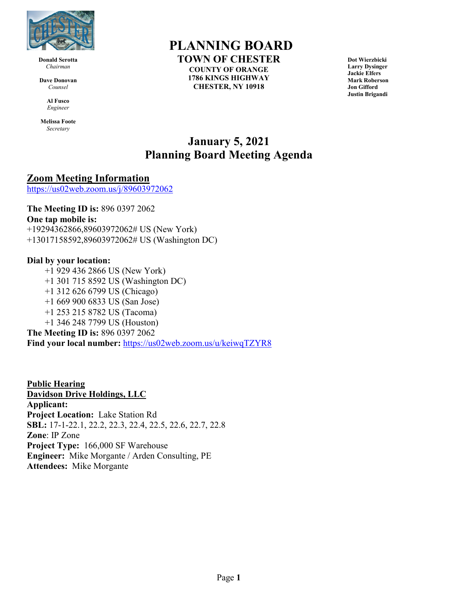

**Donald Serotta** *Chairman*

**Dave Donovan** *Counsel*

> **Al Fusco** *Engineer*

**Melissa Foote** *Secretary*

# **PLANNING BOARD**

**TOWN OF CHESTER COUNTY OF ORANGE 1786 KINGS HIGHWAY CHESTER, NY 10918**

**Dot Wierzbicki Larry Dysinger Jackie Elfers Mark Roberson Jon Gifford Justin Brigandi**

## **January 5, 2021 Planning Board Meeting Agenda**

### **Zoom Meeting Information**

<https://us02web.zoom.us/j/89603972062>

**The Meeting ID is:** 896 0397 2062 **One tap mobile is:** +19294362866,89603972062# US (New York) +13017158592,89603972062# US (Washington DC)

#### **Dial by your location:**

+1 929 436 2866 US (New York) +1 301 715 8592 US (Washington DC) +1 312 626 6799 US (Chicago) +1 669 900 6833 US (San Jose) +1 253 215 8782 US (Tacoma) +1 346 248 7799 US (Houston) **The Meeting ID is:** 896 0397 2062 **Find your local number:** <https://us02web.zoom.us/u/keiwqTZYR8>

**Public Hearing Davidson Drive Holdings, LLC Applicant: Project Location:** Lake Station Rd **SBL:** 17-1-22.1, 22.2, 22.3, 22.4, 22.5, 22.6, 22.7, 22.8 **Zone**: IP Zone **Project Type:** 166,000 SF Warehouse **Engineer:** Mike Morgante / Arden Consulting, PE **Attendees:** Mike Morgante